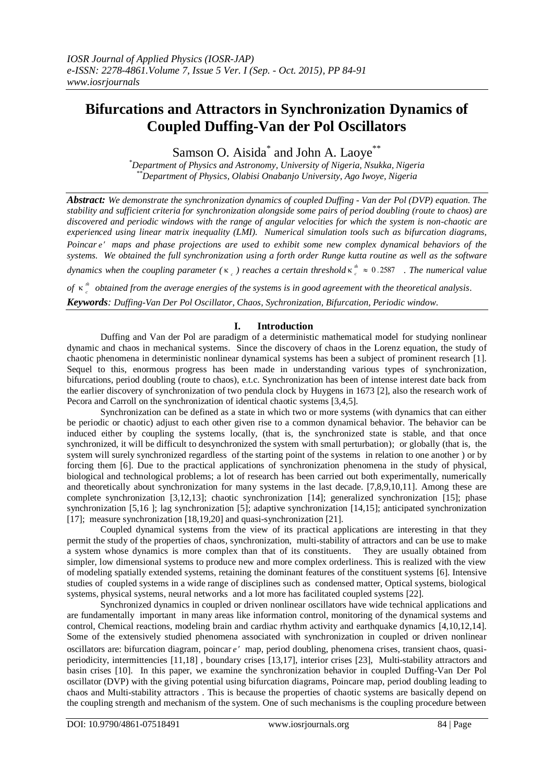# **Bifurcations and Attractors in Synchronization Dynamics of Coupled Duffing-Van der Pol Oscillators**

Samson O. Aisida<sup>\*</sup> and John A. Laoye<sup>\*\*</sup>

*\*Department of Physics and Astronomy, University of Nigeria, Nsukka, Nigeria \*\*Department of Physics, Olabisi Onabanjo University, Ago Iwoye, Nigeria*

*Abstract: We demonstrate the synchronization dynamics of coupled Duffing - Van der Pol (DVP) equation. The stability and sufficient criteria for synchronization alongside some pairs of period doubling (route to chaos) are discovered and periodic windows with the range of angular velocities for which the system is non-chaotic are experienced using linear matrix inequality (LMI). Numerical simulation tools such as bifurcation diagrams, Poincar e maps and phase projections are used to exhibit some new complex dynamical behaviors of the systems. We obtained the full synchronization using a forth order Runge kutta routine as well as the software dynamics when the coupling parameter* ( $\kappa_c$ ) *reaches a certain threshold*  $\kappa_c^{\mu} \approx 0.2587$  *. The numerical value of*  $\kappa$ <sup>*th*</sup><sub>*c*</sub>  $\kappa$ <sup>*n</sup> obtained from the average energies of the systems is in good agreement with the theoretical analysis.*</sup> *Keywords: Duffing-Van Der Pol Oscillator, Chaos, Sychronization, Bifurcation, Periodic window.*

## **I. Introduction**

Duffing and Van der Pol are paradigm of a deterministic mathematical model for studying nonlinear dynamic and chaos in mechanical systems. Since the discovery of chaos in the Lorenz equation, the study of chaotic phenomena in deterministic nonlinear dynamical systems has been a subject of prominent research [1]. Sequel to this, enormous progress has been made in understanding various types of synchronization, bifurcations, period doubling (route to chaos), e.t.c. Synchronization has been of intense interest date back from the earlier discovery of synchronization of two pendula clock by Huygens in 1673 [2], also the research work of Pecora and Carroll on the synchronization of identical chaotic systems [3,4,5].

Synchronization can be defined as a state in which two or more systems (with dynamics that can either be periodic or chaotic) adjust to each other given rise to a common dynamical behavior. The behavior can be induced either by coupling the systems locally, (that is, the synchronized state is stable, and that once synchronized, it will be difficult to desynchronized the system with small perturbation); or globally (that is, the system will surely synchronized regardless of the starting point of the systems in relation to one another ) or by forcing them [6]. Due to the practical applications of synchronization phenomena in the study of physical, biological and technological problems; a lot of research has been carried out both experimentally, numerically and theoretically about synchronization for many systems in the last decade. [7,8,9,10,11]. Among these are complete synchronization [3,12,13]; chaotic synchronization [14]; generalized synchronization [15]; phase synchronization [5,16 ]; lag synchronization [5]; adaptive synchronization [14,15]; anticipated synchronization [17]; measure synchronization [18,19,20] and quasi-synchronization [21].

Coupled dynamical systems from the view of its practical applications are interesting in that they permit the study of the properties of chaos, synchronization, multi-stability of attractors and can be use to make a system whose dynamics is more complex than that of its constituents. They are usually obtained from simpler, low dimensional systems to produce new and more complex orderliness. This is realized with the view of modeling spatially extended systems, retaining the dominant features of the constituent systems [6]. Intensive studies of coupled systems in a wide range of disciplines such as condensed matter, Optical systems, biological systems, physical systems, neural networks and a lot more has facilitated coupled systems [22].

Synchronized dynamics in coupled or driven nonlinear oscillators have wide technical applications and are fundamentally important in many areas like information control, monitoring of the dynamical systems and control, Chemical reactions, modeling brain and cardiac rhythm activity and earthquake dynamics [4,10,12,14]. Some of the extensively studied phenomena associated with synchronization in coupled or driven nonlinear oscillators are: bifurcation diagram, poincar *e* map, period doubling, phenomena crises, transient chaos, quasiperiodicity, intermittencies [11,18] , boundary crises [13,17], interior crises [23], Multi-stability attractors and basin crises [10]. In this paper, we examine the synchronization behavior in coupled Duffing-Van Der Pol oscillator (DVP) with the giving potential using bifurcation diagrams, Poincare map, period doubling leading to chaos and Multi-stability attractors . This is because the properties of chaotic systems are basically depend on the coupling strength and mechanism of the system. One of such mechanisms is the coupling procedure between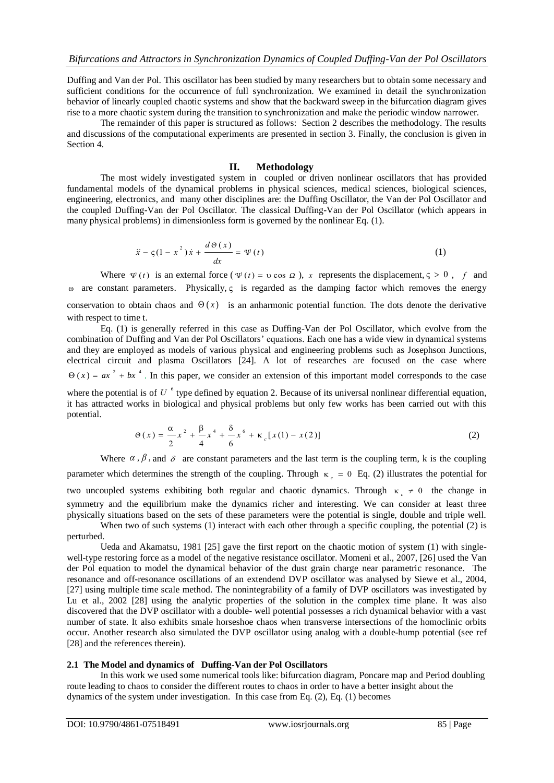Duffing and Van der Pol. This oscillator has been studied by many researchers but to obtain some necessary and sufficient conditions for the occurrence of full synchronization. We examined in detail the synchronization behavior of linearly coupled chaotic systems and show that the backward sweep in the bifurcation diagram gives rise to a more chaotic system during the transition to synchronization and make the periodic window narrower.

The remainder of this paper is structured as follows: Section 2 describes the methodology. The results and discussions of the computational experiments are presented in section 3. Finally, the conclusion is given in Section 4.

#### **II. Methodology**

The most widely investigated system in coupled or driven nonlinear oscillators that has provided fundamental models of the dynamical problems in physical sciences, medical sciences, biological sciences, engineering, electronics, and many other disciplines are: the Duffing Oscillator, the Van der Pol Oscillator and the coupled Duffing-Van der Pol Oscillator. The classical Duffing-Van der Pol Oscillator (which appears in many physical problems) in dimensionless form is governed by the nonlinear Eq. (1).

$$
\ddot{x} - \zeta (1 - x^2) \dot{x} + \frac{d\Theta(x)}{dx} = \Psi(t)
$$
 (1)

Where  $\Psi(t)$  is an external force ( $\Psi(t) = \upsilon \cos \Omega$ ), x represents the displacement,  $\varsigma > 0$ , f and  $\omega$  are constant parameters. Physically,  $\varsigma$  is regarded as the damping factor which removes the energy conservation to obtain chaos and  $\Theta(x)$  is an anharmonic potential function. The dots denote the derivative with respect to time t.

Eq. (1) is generally referred in this case as Duffing-Van der Pol Oscillator, which evolve from the combination of Duffing and Van der Pol Oscillators' equations. Each one has a wide view in dynamical systems and they are employed as models of various physical and engineering problems such as Josephson Junctions, electrical circuit and plasma Oscillators [24]. A lot of researches are focused on the case where  $\Theta(x) = ax^2 + bx^4$ . In this paper, we consider an extension of this important model corresponds to the case

where the potential is of  $U^6$  type defined by equation 2. Because of its universal nonlinear differential equation, it has attracted works in biological and physical problems but only few works has been carried out with this potential.

$$
\Theta(x) = \frac{\alpha}{2}x^2 + \frac{\beta}{4}x^4 + \frac{\delta}{6}x^6 + \kappa_c[x(1) - x(2)]
$$
 (2)

Where  $\alpha$ ,  $\beta$ , and  $\delta$  are constant parameters and the last term is the coupling term, k is the coupling parameter which determines the strength of the coupling. Through  $\kappa_c = 0$  Eq. (2) illustrates the potential for two uncoupled systems exhibiting both regular and chaotic dynamics. Through  $\kappa_c \neq 0$  the change in symmetry and the equilibrium make the dynamics richer and interesting. We can consider at least three physically situations based on the sets of these parameters were the potential is single, double and triple well.

When two of such systems (1) interact with each other through a specific coupling, the potential (2) is perturbed.

Ueda and Akamatsu, 1981 [25] gave the first report on the chaotic motion of system (1) with singlewell-type restoring force as a model of the negative resistance oscillator. Momeni et al., 2007, [26] used the Van der Pol equation to model the dynamical behavior of the dust grain charge near parametric resonance. The resonance and off-resonance oscillations of an extendend DVP oscillator was analysed by Siewe et al., 2004, [27] using multiple time scale method. The nonintegrability of a family of DVP oscillators was investigated by Lu et al., 2002 [28] using the analytic properties of the solution in the complex time plane. It was also discovered that the DVP oscillator with a double- well potential possesses a rich dynamical behavior with a vast number of state. It also exhibits smale horseshoe chaos when transverse intersections of the homoclinic orbits occur. Another research also simulated the DVP oscillator using analog with a double-hump potential (see ref [28] and the references therein).

#### **2.1 The Model and dynamics of Duffing-Van der Pol Oscillators**

In this work we used some numerical tools like: bifurcation diagram, Poncare map and Period doubling route leading to chaos to consider the different routes to chaos in order to have a better insight about the dynamics of the system under investigation. In this case from Eq. (2), Eq. (1) becomes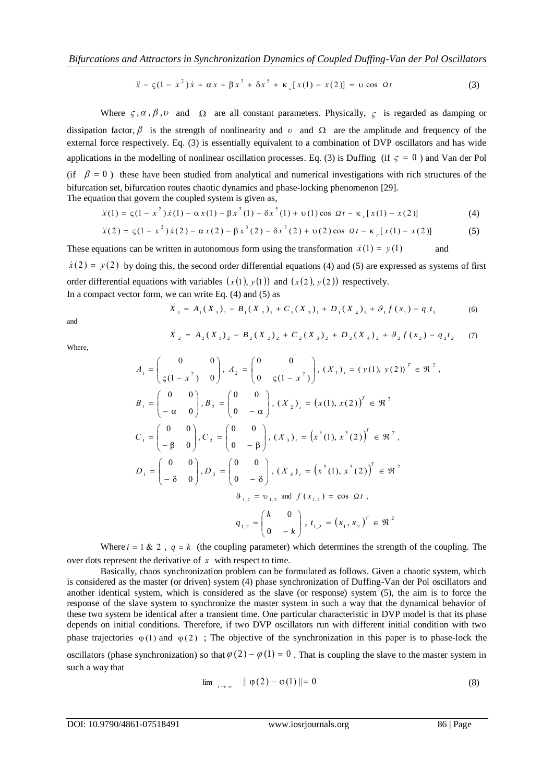$$
\ddot{x} - \zeta(1 - x^2)\dot{x} + \alpha x + \beta x^3 + \delta x^5 + \kappa_c[x(1) - x(2)] = v \cos \Omega t \tag{3}
$$

Where  $\varsigma, \alpha, \beta, \upsilon$  and  $\Omega$  are all constant parameters. Physically,  $\varsigma$  is regarded as damping or dissipation factor,  $\beta$  is the strength of nonlinearity and v and  $\Omega$  are the amplitude and frequency of the external force respectively. Eq. (3) is essentially equivalent to a combination of DVP oscillators and has wide applications in the modelling of nonlinear oscillation processes. Eq. (3) is Duffing (if  $\zeta = 0$ ) and Van der Pol (if  $\beta = 0$ ) these have been studied from analytical and numerical investigations with rich structures of the bifurcation set, bifurcation routes chaotic dynamics and phase-locking phenomenon [29]. The equation that govern the coupled system is given as,

$$
\ddot{x}(1) = \zeta(1 - x^2)\dot{x}(1) - \alpha x(1) - \beta x^3(1) - \delta x^5(1) + \upsilon(1)\cos \Omega t - \kappa_c[x(1) - x(2)]
$$
 (4)

$$
\ddot{x}(2) = \varsigma (1 - x^2) \dot{x}(2) - \alpha x(2) - \beta x^3 (2) - \delta x^5 (2) + \upsilon (2) \cos \Omega t - \kappa_c [x(1) - x(2)] \tag{5}
$$

These equations can be written in autonomous form using the transformation  $\dot{x}(1) = y(1)$ and  $\dot{x}(2) = y(2)$  by doing this, the second order differential equations (4) and (5) are expressed as systems of first order differential equations with variables  $(x(1), y(1))$  and  $(x(2), y(2))$  respectively. In a compact vector form, we can write Eq.  $(4)$  and  $(5)$  as

$$
\dot{X}_1 = A_1(X_1)_1 - B_1(X_2)_1 + C_1(X_3)_1 + D_1(X_4)_1 + \vartheta_1 f(x_1) - q_1 t_1
$$
 (6)

and

$$
\dot{X}_2 = A_2(X_1)_2 - B_2(X_2)_2 + C_2(X_3)_2 + D_2(X_4)_2 + \vartheta_2 f(x_2) - q_2 t_2 \tag{7}
$$

Where,

$$
A_{1} = \begin{pmatrix} 0 & 0 \\ \zeta(1 - x^{2}) & 0 \end{pmatrix}, A_{2} = \begin{pmatrix} 0 & 0 \\ 0 & \zeta(1 - x^{2}) \end{pmatrix}, (X_{1})_{i} = (y(1), y(2))^{T} \in \mathfrak{R}^{2},
$$
  
\n
$$
B_{1} = \begin{pmatrix} 0 & 0 \\ -\alpha & 0 \end{pmatrix}, B_{2} = \begin{pmatrix} 0 & 0 \\ 0 & -\alpha \end{pmatrix}, (X_{2})_{i} = (x(1), x(2))^{T} \in \mathfrak{R}^{2}
$$
  
\n
$$
C_{1} = \begin{pmatrix} 0 & 0 \\ -\beta & 0 \end{pmatrix}, C_{2} = \begin{pmatrix} 0 & 0 \\ 0 & -\beta \end{pmatrix}, (X_{3})_{i} = (x^{3}(1), x^{3}(2))^{T} \in \mathfrak{R}^{2},
$$
  
\n
$$
D_{1} = \begin{pmatrix} 0 & 0 \\ -\delta & 0 \end{pmatrix}, D_{2} = \begin{pmatrix} 0 & 0 \\ 0 & -\delta \end{pmatrix}, (X_{4})_{i} = (x^{5}(1), x^{5}(2))^{T} \in \mathfrak{R}^{2}
$$
  
\n
$$
\mathfrak{R}_{1,2} = \mathfrak{v}_{1,2} \text{ and } f(x_{1,2}) = \cos \Omega t,
$$
  
\n
$$
q_{1,2} = \begin{pmatrix} k & 0 \\ 0 & -k \end{pmatrix}, t_{1,2} = (x_{1}, x_{2})^{T} \in \mathfrak{R}^{2}
$$

Where  $i = 1 \& 2$ ,  $q = k$  (the coupling parameter) which determines the strength of the coupling. The over dots represent the derivative of  $x$  with respect to time.

Basically, chaos synchronization problem can be formulated as follows. Given a chaotic system, which is considered as the master (or driven) system (4) phase synchronization of Duffing-Van der Pol oscillators and another identical system, which is considered as the slave (or response) system (5), the aim is to force the response of the slave system to synchronize the master system in such a way that the dynamical behavior of these two system be identical after a transient time. One particular characteristic in DVP model is that its phase depends on initial conditions. Therefore, if two DVP oscillators run with different initial condition with two phase trajectories  $\varphi(1)$  and  $\varphi(2)$ ; The objective of the synchronization in this paper is to phase-lock the oscillators (phase synchronization) so that  $\varphi(2) - \varphi(1) = 0$ . That is coupling the slave to the master system in such a way that

$$
\lim_{t \to \infty} \quad || \varphi(2) - \varphi(1) || = 0 \tag{8}
$$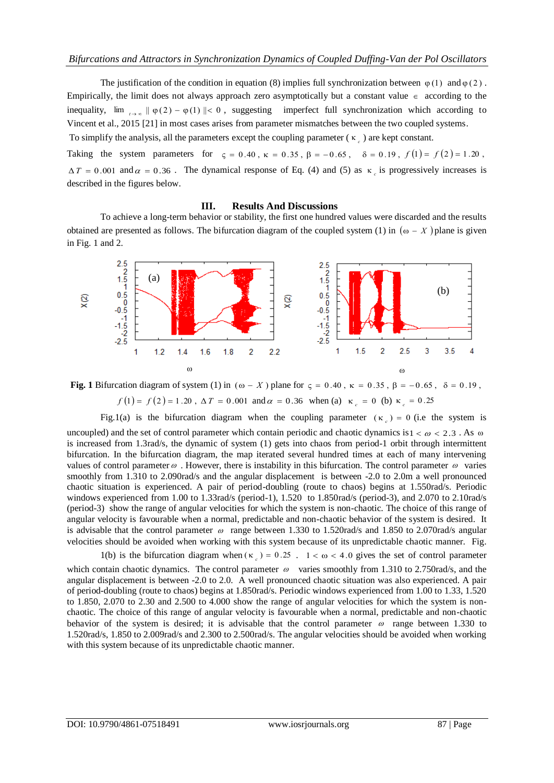The justification of the condition in equation (8) implies full synchronization between  $\varphi(1)$  and  $\varphi(2)$ . Empirically, the limit does not always approach zero asymptotically but a constant value  $\epsilon$  according to the inequality,  $\lim_{t\to\infty}$   $\|\varphi(2) - \varphi(1)\| < 0$ , suggesting imperfect full synchronization which according to Vincent et al., 2015 [21] in most cases arises from parameter mismatches between the two coupled systems.

To simplify the analysis, all the parameters except the coupling parameter ( $\kappa_c$ ) are kept constant.

Taking the system parameters for  $\zeta = 0.40$ ,  $\kappa = 0.35$ ,  $\beta = -0.65$ ,  $\delta = 0.19$ ,  $f(1) = f(2) = 1.20$ ,  $\Delta T = 0.001$  and  $\alpha = 0.36$ . The dynamical response of Eq. (4) and (5) as  $\kappa_c$  is progressively increases is described in the figures below.

### **III. Results And Discussions**

To achieve a long-term behavior or stability, the first one hundred values were discarded and the results obtained are presented as follows. The bifurcation diagram of the coupled system (1) in  $(\omega - X)$  plane is given in Fig. 1 and 2.



**Fig. 1** Bifurcation diagram of system (1) in  $(\omega - X)$  plane for  $\zeta = 0.40$ ,  $\kappa = 0.35$ ,  $\beta = -0.65$ ,  $\delta = 0.19$ ,

 $f(1) = f(2) = 1.20$ ,  $\Delta T = 0.001$  and  $\alpha = 0.36$  when (a)  $\kappa_c = 0$  (b)  $\kappa_c = 0.25$ 

Fig.1(a) is the bifurcation diagram when the coupling parameter  $(\kappa_c) = 0$  (i.e the system is

uncoupled) and the set of control parameter which contain periodic and chaotic dynamics is  $1 < \omega < 2.3$ . As  $\omega$ is increased from 1.3rad/s, the dynamic of system (1) gets into chaos from period-1 orbit through intermittent bifurcation. In the bifurcation diagram, the map iterated several hundred times at each of many intervening values of control parameter  $\omega$ . However, there is instability in this bifurcation. The control parameter  $\omega$  varies smoothly from 1.310 to 2.090rad/s and the angular displacement is between -2.0 to 2.0m a well pronounced chaotic situation is experienced. A pair of period-doubling (route to chaos) begins at 1.550rad/s. Periodic windows experienced from 1.00 to 1.33rad/s (period-1), 1.520 to 1.850rad/s (period-3), and 2.070 to 2.10rad/s (period-3) show the range of angular velocities for which the system is non-chaotic. The choice of this range of angular velocity is favourable when a normal, predictable and non-chaotic behavior of the system is desired. It is advisable that the control parameter  $\omega$  range between 1.330 to 1.520rad/s and 1.850 to 2.070rad/s angular velocities should be avoided when working with this system because of its unpredictable chaotic manner. Fig.

1(b) is the bifurcation diagram when  $(\kappa_c) = 0.25$ .  $1 < \omega < 4.0$  gives the set of control parameter

which contain chaotic dynamics. The control parameter  $\omega$  varies smoothly from 1.310 to 2.750rad/s, and the angular displacement is between -2.0 to 2.0. A well pronounced chaotic situation was also experienced. A pair of period-doubling (route to chaos) begins at 1.850rad/s. Periodic windows experienced from 1.00 to 1.33, 1.520 to 1.850, 2.070 to 2.30 and 2.500 to 4.000 show the range of angular velocities for which the system is nonchaotic. The choice of this range of angular velocity is favourable when a normal, predictable and non-chaotic behavior of the system is desired; it is advisable that the control parameter  $\omega$  range between 1.330 to 1.520rad/s, 1.850 to 2.009rad/s and 2.300 to 2.500rad/s. The angular velocities should be avoided when working with this system because of its unpredictable chaotic manner.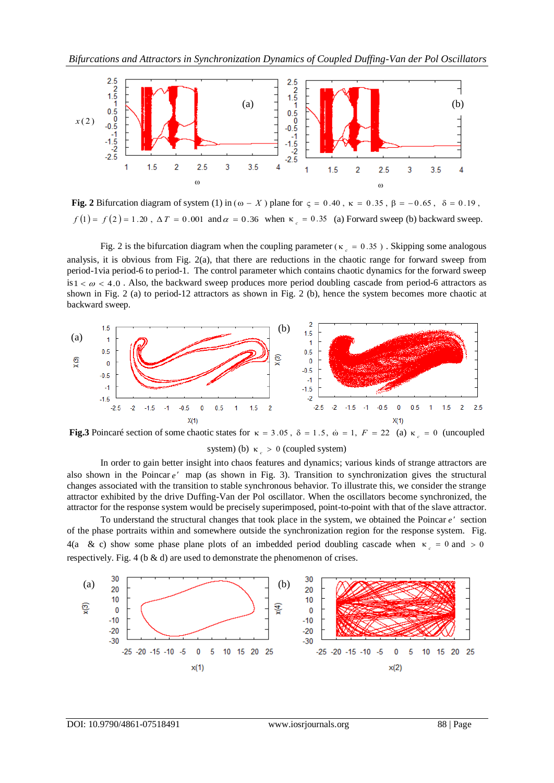

**Fig. 2** Bifurcation diagram of system (1) in  $(\omega - X)$  plane for  $\zeta = 0.40$ ,  $\kappa = 0.35$ ,  $\beta = -0.65$ ,  $\delta = 0.19$ , *f* (1) =  $f(2) = 1.20$ ,  $\Delta T = 0.001$  and  $\alpha = 0.36$  when  $\kappa_c = 0.35$  (a) Forward sweep (b) backward sweep.

Fig. 2 is the bifurcation diagram when the coupling parameter ( $\kappa_c = 0.35$ ). Skipping some analogous analysis, it is obvious from Fig. 2(a), that there are reductions in the chaotic range for forward sweep from period-1via period-6 to period-1. The control parameter which contains chaotic dynamics for the forward sweep  $is 1 < \omega < 4.0$ . Also, the backward sweep produces more period doubling cascade from period-6 attractors as shown in Fig. 2 (a) to period-12 attractors as shown in Fig. 2 (b), hence the system becomes more chaotic at backward sweep.



**Fig.3** Poincaré section of some chaotic states for  $\kappa = 3.05$ ,  $\delta = 1.5$ ,  $\dot{\omega} = 1$ ,  $F = 22$  (a)  $\kappa_c = 0$  (uncoupled system) (b)  $\kappa_c > 0$  (coupled system)

In order to gain better insight into chaos features and dynamics; various kinds of strange attractors are also shown in the Poincar e' map (as shown in Fig. 3). Transition to synchronization gives the structural changes associated with the transition to stable synchronous behavior. To illustrate this, we consider the strange attractor exhibited by the drive Duffing-Van der Pol oscillator. When the oscillators become synchronized, the attractor for the response system would be precisely superimposed, point-to-point with that of the slave attractor.

To understand the structural changes that took place in the system, we obtained the Poincar e' section of the phase portraits within and somewhere outside the synchronization region for the response system. Fig. 4(a & c) show some phase plane plots of an imbedded period doubling cascade when  $\kappa_c = 0$  and  $> 0$ respectively. Fig. 4 ( $b \& d$ ) are used to demonstrate the phenomenon of crises.

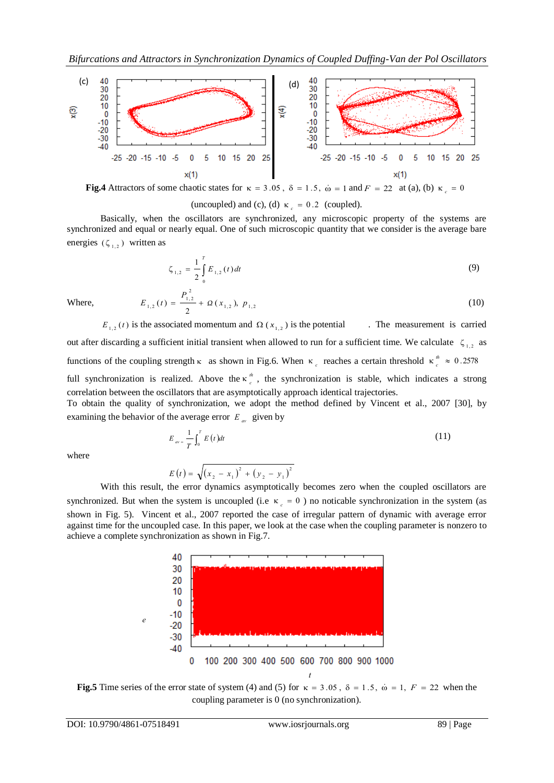

**Fig.4** Attractors of some chaotic states for  $\kappa = 3.05$ ,  $\delta = 1.5$ ,  $\dot{\omega} = 1$  and  $F = 22$  at (a), (b)  $\kappa_c = 0$ 

(uncoupled) and (c), (d)  $\kappa_c = 0.2$  (coupled).

Basically, when the oscillators are synchronized, any microscopic property of the systems are synchronized and equal or nearly equal. One of such microscopic quantity that we consider is the average bare energies  $(\zeta_{1,2})$  written as

$$
\zeta_{1,2} = \frac{1}{2} \int_{0}^{T} E_{1,2}(t) dt
$$
\n(9)

Where,

 $E_{1,2}(t)$  is the associated momentum and  $\Omega(x_{1,2})$ . The measurement is carried out after discarding a sufficient initial transient when allowed to run for a sufficient time. We calculate  $\zeta_{1,2}$  as functions of the coupling strength  $\kappa$  as shown in Fig.6. When  $\kappa_c$  reaches a certain threshold  $\kappa_c^{\phi} \approx 0.2578$ full synchronization is realized. Above the  $\kappa$ <sup>*th*</sup></sup>  $\kappa$ <sup>*m*</sup>, the synchronization is stable, which indicates a strong correlation between the oscillators that are asymptotically approach identical trajectories.

To obtain the quality of synchronization, we adopt the method defined by Vincent et al., 2007 [30], by examining the behavior of the average error  $E_{av}$  given by

$$
E_{av} = \frac{1}{T} \int_0^T E(t) dt
$$
 (11)

where

$$
E(t) = \sqrt{(x_2 - x_1)^2 + (y_2 - y_1)^2}
$$

 $1, 2 \nvert P \cdot P \cdot 1, 2$ 

2 1, 2  $_{1,2}(t) = \frac{1}{2} + \Omega(x_{1,2}),$ 2  $(t) = \frac{1}{2} + \Omega(x_1, b)$ , p

*P*  $E_{1,2}(t) = \frac{1}{2} + \Omega$ 

With this result, the error dynamics asymptotically becomes zero when the coupled oscillators are synchronized. But when the system is uncoupled (i.e  $\kappa_c = 0$ ) no noticable synchronization in the system (as shown in Fig. 5). Vincent et al., 2007 reported the case of irregular pattern of dynamic with average error against time for the uncoupled case. In this paper, we look at the case when the coupling parameter is nonzero to achieve a complete synchronization as shown in Fig.7.



**Fig.5** Time series of the error state of system (4) and (5) for  $\kappa = 3.05$ ,  $\delta = 1.5$ ,  $\dot{\omega} = 1$ ,  $F = 22$  when the coupling parameter is 0 (no synchronization).

(10)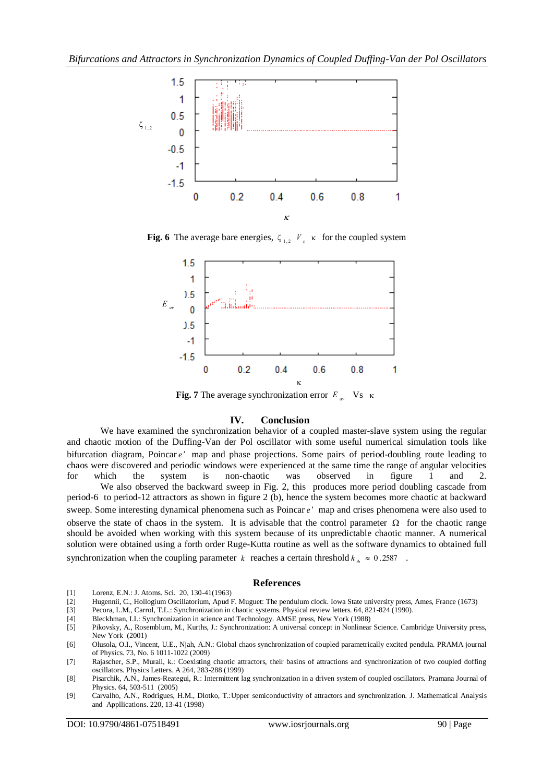

**Fig. 6** The average bare energies,  $\zeta_{1,2}$ ,  $V_s$  is for the coupled system



**Fig.** 7 The average synchronization error  $E_{av}$  Vs  $\kappa$ 

#### **IV. Conclusion**

We have examined the synchronization behavior of a coupled master-slave system using the regular and chaotic motion of the Duffing-Van der Pol oscillator with some useful numerical simulation tools like bifurcation diagram, Poincar e' map and phase projections. Some pairs of period-doubling route leading to chaos were discovered and periodic windows were experienced at the same time the range of angular velocities for which the system is non-chaotic was observed in figure 1 and 2. for which the system is non-chaotic was observed in figure 1 and 2. We also observed the backward sweep in Fig. 2, this produces more period doubling cascade from period-6 to period-12 attractors as shown in figure 2 (b), hence the system becomes more chaotic at backward sweep. Some interesting dynamical phenomena such as Poincar *e* map and crises phenomena were also used to observe the state of chaos in the system. It is advisable that the control parameter  $\Omega$  for the chaotic range should be avoided when working with this system because of its unpredictable chaotic manner. A numerical solution were obtained using a forth order Ruge-Kutta routine as well as the software dynamics to obtained full synchronization when the coupling parameter k reaches a certain threshold  $k_{th} \approx 0.2587$ .

#### **References**

- [1] Lorenz, E.N.: J. Atoms. Sci. 20, 130-41(1963)
- [2] Hugennii, C., Hollogium Oscillatorium, Apud F. Muguet: The pendulum clock. Iowa State university press, Ames, France (1673)
- [3] Pecora, L.M., Carrol, T.L.: Synchronization in chaotic systems. Physical review letters. 64, 821-824 (1990).
- [4] Bleckhman, I.I.: Synchronization in science and Technology. AMSE press, New York (1988)
- [5] Pikovsky, A., Rosemblum, M., Kurths, J.: Synchronization: A universal concept in Nonlinear Science. Cambridge University press, New York (2001)
- [6] Olusola, O.I., Vincent, U.E., Njah, A.N.: Global chaos synchronization of coupled parametrically excited pendula. PRAMA journal of Physics. 73, No. 6 1011-1022 (2009)
- [7] Rajascher, S.P., Murali, k.: Coexisting chaotic attractors, their basins of attractions and synchronization of two coupled doffing oscillators. Physics Letters. A 264, 283-288 (1999)
- [8] Pisarchik, A.N., James-Reategui, R.: Intermittent lag synchronization in a driven system of coupled oscillators. Pramana Journal of Physics. 64, 503-511 (2005)
- [9] Carvalho, A.N., Rodrigues, H.M., Dlotko, T.:Upper semiconductivity of attractors and synchronization. J. Mathematical Analysis and Appllications. 220, 13-41 (1998)